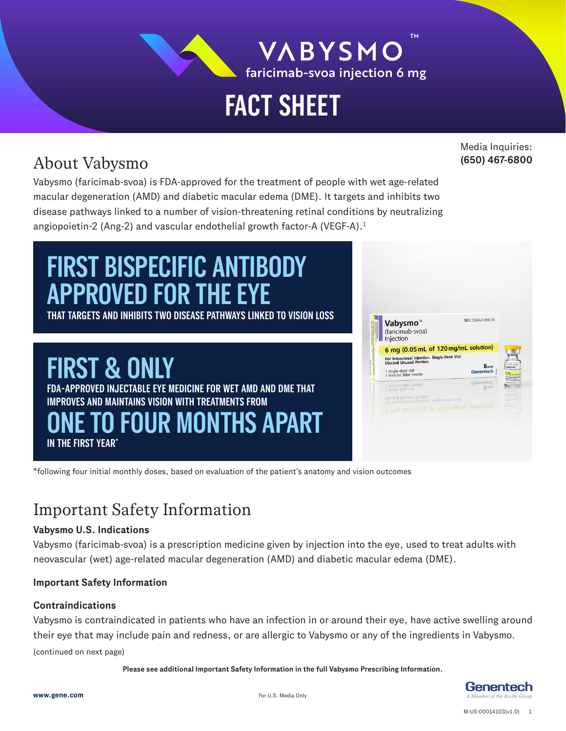

**VABYSMO** faricimab-svoa injection 6 mg

**TM**

# **FACT SHEET**

# About Vabysmo

Media Inquiries: **(650) 467-6800**

Vabysmo (faricimab-svoa) is FDA-approved for the treatment of people with wet age-related macular degeneration (AMD) and diabetic macular edema (DME). It targets and inhibits two disease pathways linked to a number of vision-threatening retinal conditions by neutralizing angiopoietin-2 (Ang-2) and vascular endothelial growth factor-A (VEGF-A).<sup>1</sup>

# **FIRST BISPECIFIC ANTIBODY APPROVED FOR THE EYE**

**THAT TARGETS AND INHIBITS TWO DISEASE PATHWAYS LINKED TO VISION LOSS**

# **FIRST & ON**

**FDA-APPROVED INJECTABLE EYE MEDICINE FOR WET AMD AND DME THAT IMPROVES AND MAINTAINS VISION WITH TREATMENTS FROM IN THE FIRST YEAR\* ONE TO FOUR MONTHS APART**



\*following four initial monthly doses, based on evaluation of the patient's anatomy and vision outcomes

### Important Safety Information

#### **Vabysmo U.S. Indications**

Vabysmo (faricimab-svoa) is a prescription medicine given by injection into the eye, used to treat adults with neovascular (wet) age-related macular degeneration (AMD) and diabetic macular edema (DME).

#### **Important Safety Information**

#### **Contraindications**

Vabysmo is contraindicated in patients who have an infection in or around their eye, have active swelling around their eye that may include pain and redness, or are allergic to Vabysmo or any of the ingredients in Vabysmo.

(continued on next page)

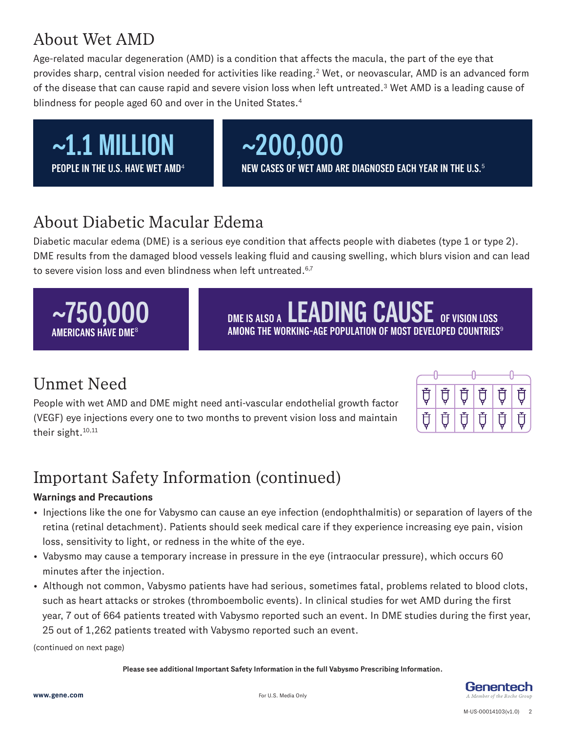### About Wet AMD

Age-related macular degeneration (AMD) is a condition that affects the macula, the part of the eye that provides sharp, central vision needed for activities like reading.<sup>2</sup> Wet, or neovascular, AMD is an advanced form of the disease that can cause rapid and severe vision loss when left untreated.<sup>3</sup> Wet AMD is a leading cause of blindness for people aged 60 and over in the United States.<sup>4</sup>



### About Diabetic Macular Edema

Diabetic macular edema (DME) is a serious eye condition that affects people with diabetes (type 1 or type 2). DME results from the damaged blood vessels leaking fluid and causing swelling, which blurs vision and can lead to severe vision loss and even blindness when left untreated.<sup>6,7</sup>

 $\sim$ 750,000 **DE BET DES ALSO A LEADING CAUSE** OF VISION LOSS

**AMONG THE WORKING-AGE POPULATION OF MOST DEVELOPED COUNTRIES**<sup>9</sup>

# Unmet Need

**AMERICANS HAVE DME**<sup>8</sup>

People with wet AMD and DME might need anti-vascular endothelial growth factor (VEGF) eye injections every one to two months to prevent vision loss and maintain their sight.<sup>10,11</sup>

| Ų. | Ų.  | I Ù | ∣Ù, | ᡛි  | (頁) |
|----|-----|-----|-----|-----|-----|
| Ū. | (真) | Ū   | IÙ  | ∣ ऍ | Ū   |

# Important Safety Information (continued)

#### **Warnings and Precautions**

- Injections like the one for Vabysmo can cause an eye infection (endophthalmitis) or separation of layers of the retina (retinal detachment). Patients should seek medical care if they experience increasing eye pain, vision loss, sensitivity to light, or redness in the white of the eye.
- Vabysmo may cause a temporary increase in pressure in the eye (intraocular pressure), which occurs 60 minutes after the injection.
- Although not common, Vabysmo patients have had serious, sometimes fatal, problems related to blood clots, such as heart attacks or strokes (thromboembolic events). In clinical studies for wet AMD during the first year, 7 out of 664 patients treated with Vabysmo reported such an event. In DME studies during the first year, 25 out of 1,262 patients treated with Vabysmo reported such an event.

(continued on next page)

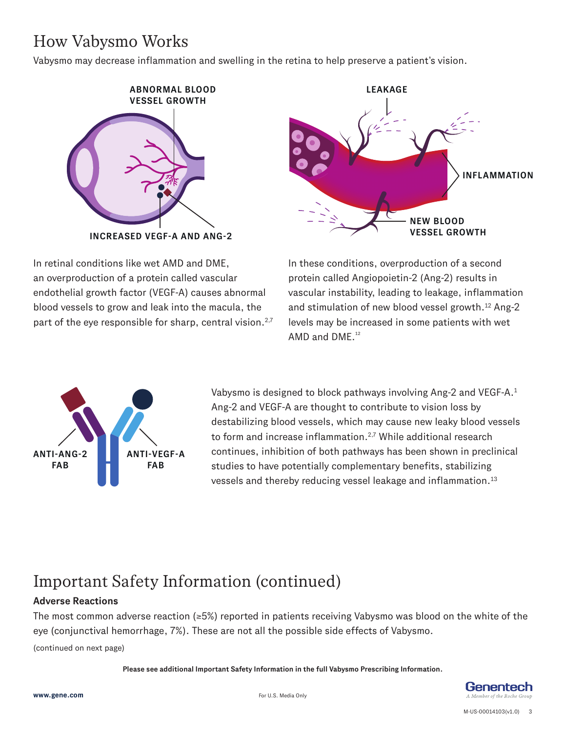# How Vabysmo Works

Vabysmo may decrease inflammation and swelling in the retina to help preserve a patient's vision.



In retinal conditions like wet AMD and DME, an overproduction of a protein called vascular endothelial growth factor (VEGF-A) causes abnormal blood vessels to grow and leak into the macula, the part of the eye responsible for sharp, central vision.<sup>2,7</sup>



In these conditions, overproduction of a second protein called Angiopoietin-2 (Ang-2) results in vascular instability, leading to leakage, inflammation and stimulation of new blood vessel growth.<sup>12</sup> Ang-2 levels may be increased in some patients with wet AMD and  $DME<sub>12</sub>$ <sup>12</sup>



Vabysmo is designed to block pathways involving Ang-2 and VEGF-A.1 Ang-2 and VEGF-A are thought to contribute to vision loss by destabilizing blood vessels, which may cause new leaky blood vessels to form and increase inflammation.<sup>2,7</sup> While additional research continues, inhibition of both pathways has been shown in preclinical studies to have potentially complementary benefits, stabilizing vessels and thereby reducing vessel leakage and inflammation.13

# Important Safety Information (continued)

#### **Adverse Reactions**

The most common adverse reaction (≥5%) reported in patients receiving Vabysmo was blood on the white of the eye (conjunctival hemorrhage, 7%). These are not all the possible side effects of Vabysmo.

(continued on next page)

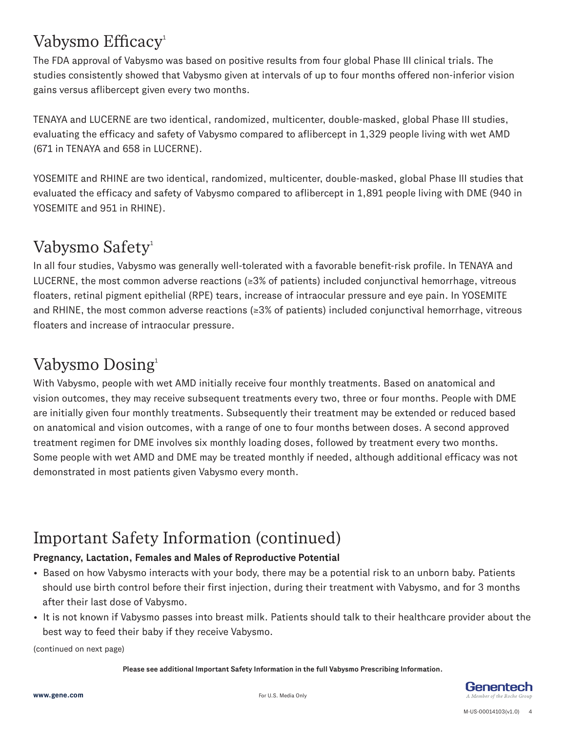# Vabysmo Efficacy<sup>1</sup>

The FDA approval of Vabysmo was based on positive results from four global Phase III clinical trials. The studies consistently showed that Vabysmo given at intervals of up to four months offered non-inferior vision gains versus aflibercept given every two months.

TENAYA and LUCERNE are two identical, randomized, multicenter, double-masked, global Phase III studies, evaluating the efficacy and safety of Vabysmo compared to aflibercept in 1,329 people living with wet AMD (671 in TENAYA and 658 in LUCERNE).

YOSEMITE and RHINE are two identical, randomized, multicenter, double-masked, global Phase III studies that evaluated the efficacy and safety of Vabysmo compared to aflibercept in 1,891 people living with DME (940 in YOSEMITE and 951 in RHINE).

### Vabysmo Safety<sup>1</sup>

In all four studies, Vabysmo was generally well-tolerated with a favorable benefit-risk profile. In TENAYA and LUCERNE, the most common adverse reactions (≥3% of patients) included conjunctival hemorrhage, vitreous floaters, retinal pigment epithelial (RPE) tears, increase of intraocular pressure and eye pain. In YOSEMITE and RHINE, the most common adverse reactions (≥3% of patients) included conjunctival hemorrhage, vitreous floaters and increase of intraocular pressure.

### Vabysmo Dosing<sup>1</sup>

With Vabysmo, people with wet AMD initially receive four monthly treatments. Based on anatomical and vision outcomes, they may receive subsequent treatments every two, three or four months. People with DME are initially given four monthly treatments. Subsequently their treatment may be extended or reduced based on anatomical and vision outcomes, with a range of one to four months between doses. A second approved treatment regimen for DME involves six monthly loading doses, followed by treatment every two months. Some people with wet AMD and DME may be treated monthly if needed, although additional efficacy was not demonstrated in most patients given Vabysmo every month.

# Important Safety Information (continued)

#### **Pregnancy, Lactation, Females and Males of Reproductive Potential**

- Based on how Vabysmo interacts with your body, there may be a potential risk to an unborn baby. Patients should use birth control before their first injection, during their treatment with Vabysmo, and for 3 months after their last dose of Vabysmo.
- It is not known if Vabysmo passes into breast milk. Patients should talk to their healthcare provider about the best way to feed their baby if they receive Vabysmo.

(continued on next page)